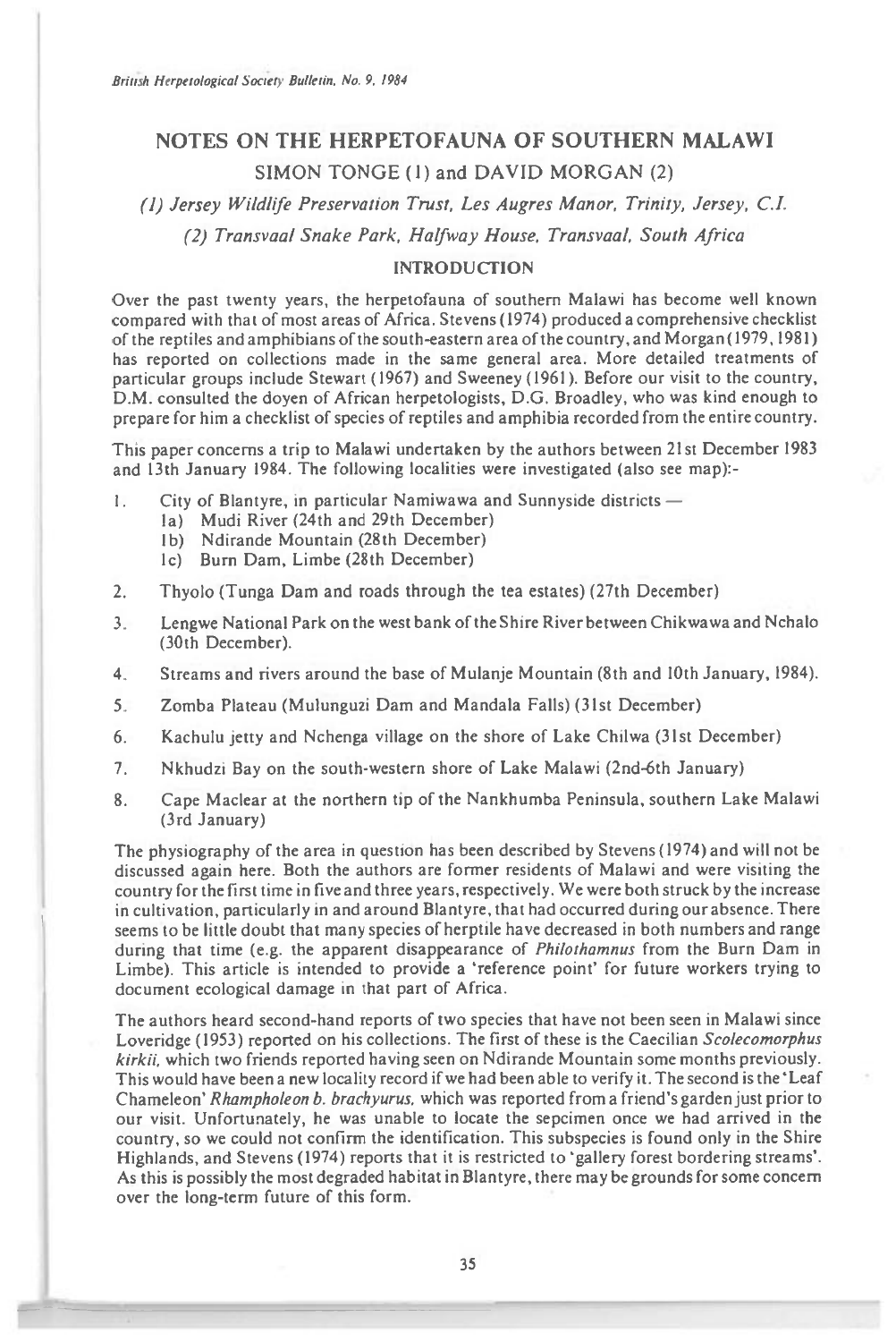# **NOTES ON THE HERPETOFAUNA OF SOUTHERN MALAWI**  SIMON TONGE (1) and DAVID MORGAN (2)

*(1) Jersey Wildlife Preservation Trust, Les Augres Manor, Trinity, Jersey, C.I.* 

*(2) Transvaal Snake Park, Halfway House, Transvaal, South Africa* 

## **INTRODUCTION**

Over the past twenty years, the herpetofauna of southern Malawi has become well known compared with that of most areas of Africa. Stevens (1974) produced a comprehensive checklist of the reptiles and amphibians of the south-eastern area of the country, and Morgan (1979, 1981) has reported on collections made in the same general area. More detailed treatments of particular groups include Stewart (1967) and Sweeney (1961). Before our visit to the country, D.M. consulted the doyen of African herpetologists, D.G. Broadley, who was kind enough to prepare for him a checklist of species of reptiles and amphibia recorded from the entire country.

This paper concerns a trip to Malawi undertaken by the authors between 21st December 1983 and 13th January 1984. The following localities were investigated (also see map):-

- 1. City of Blantyre, in particular Namiwawa and Sunnyside districts
	- la) Mudi River (24th and 29th December)
	- b) Ndirande Mountain (28th December)
	- lc) Burn Dam, Limbe (28th December)
- 2. Thyolo (Tunga Dam and roads through the tea estates) (27th December)
- 3. Lengwe National Park on the west bank of the Shire River between Chikwawa and Nchalo (30th December).
- 4. Streams and rivers around the base of Mulanje Mountain (8th and 10th January, 1984).
- 5. Zomba Plateau (Mulunguzi Dam and Mandala Falls) (31st December)
- 6. Kachulu jetty and Nchenga village on the shore of Lake Chilwa (31st December)
- 7. Nkhudzi Bay on the south-western shore of Lake Malawi (2nd-6th January)
- 8. Cape Maclear at the northern tip of the Nankhumba Peninsula, southern Lake Malawi (3rd January)

The physiography of the area in question has been described by Stevens (1974) and will not be discussed again here. Both the authors are former residents of Malawi and were visiting the country for the first time in five and three years, respectively. We were both struck by the increase in cultivation, particularly in and around Blantyre, that had occurred during our absence. There seems to be little doubt that many species of herptile have decreased in both numbers and range during that time (e.g. the apparent disappearance of Philothamnus from the Burn Dam in Limbe). This article is intended to provide a 'reference point' for future workers trying to document ecological damage in that part of Africa.

The authors heard second-hand reports of two species that have not been seen in Malawi since Loveridge (1953) reported on his collections. The first of these is the Caecilian Scolecomorphus kirkii, which two friends reported having seen on Ndirande Mountain some months previously. This would have been a new locality record if we had been able to verify it. The second is the 'Leaf Chameleon' Rhampholeon b. brachyurus, which was reported from a friend's garden just prior to our visit. Unfortunately, he was unable to locate the sepcimen once we had arrived in the country, so we could not confirm the identification. This subspecies is found only in the Shire Highlands, and Stevens (1974) reports that it is restricted to 'gallery forest bordering streams'. As this is possibly the most degraded habitat in Blantyre, there may be grounds for some concern over the long-term future of this form.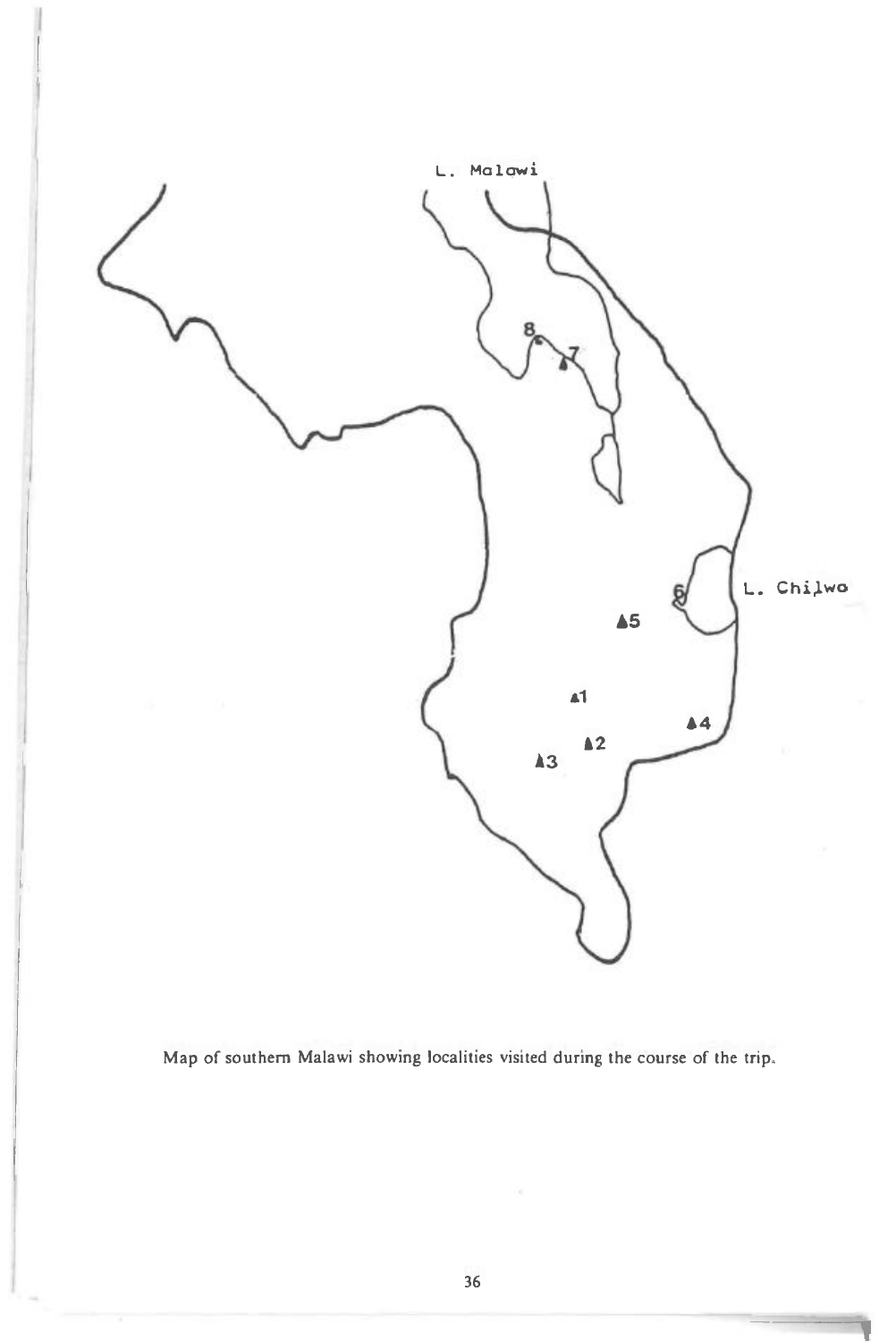

Map of southern Malawi showing localities visited during the course of the trip.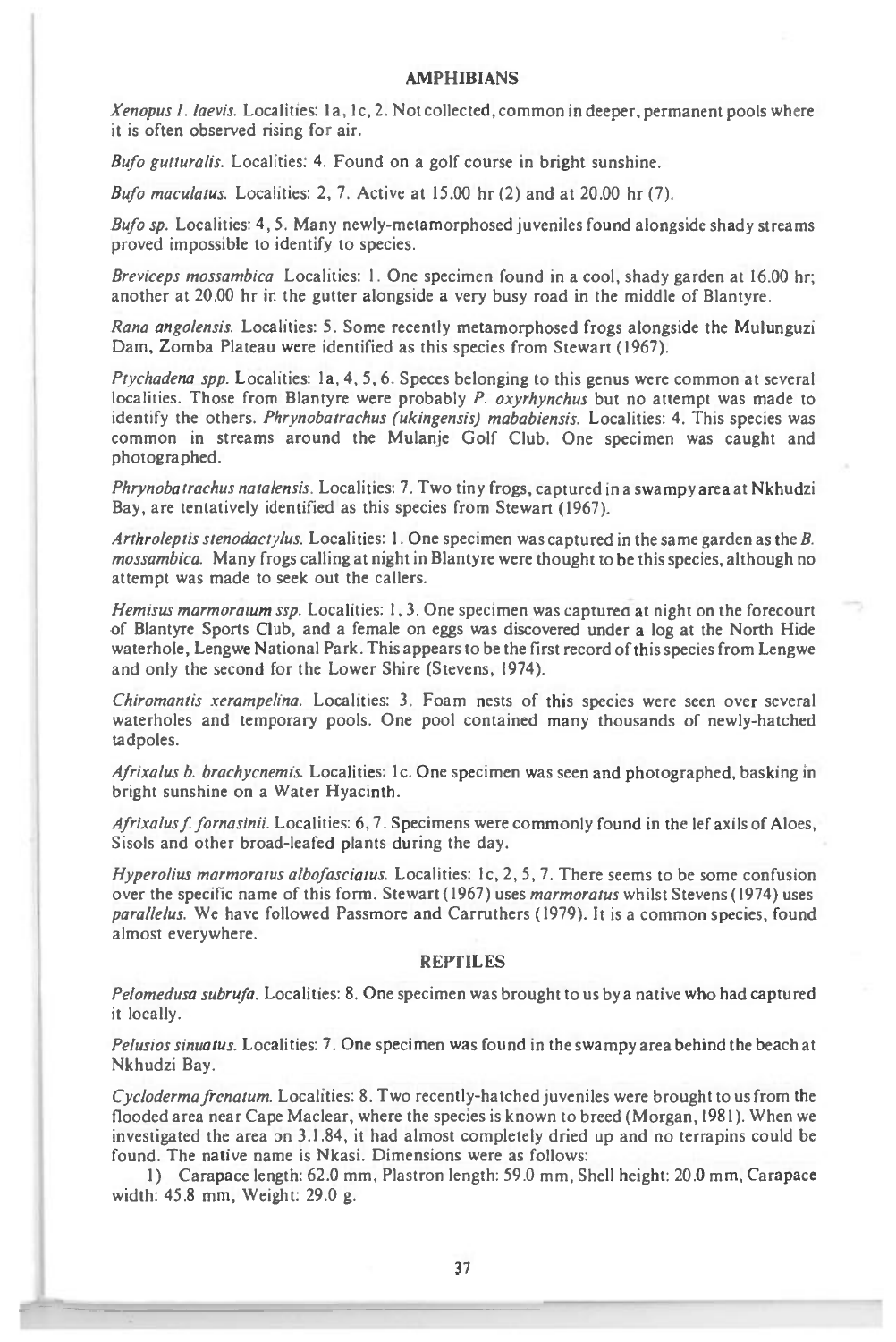#### **AMPHIBIANS**

Xenopus 1. laevis. Localities: 1a, 1c, 2. Not collected, common in deeper, permanent pools where it is often observed rising for air.

Bufo gutturalis. Localities: 4. Found on a golf course in bright sunshine.

Bufo maculatus. Localities: 2, 7. Active at 15.00 hr (2) and at 20.00 hr (7).

Bufo sp. Localities: 4, 5. Many newly-metamorphosed juveniles found alongside shady streams proved impossible to identify to species.

Breviceps mossambica. Localities: 1. One specimen found in a cool, shady garden at 16.00 hr; another at 20.00 hr in the gutter alongside a very busy road in the middle of Blantyre.

Rana angolensis. Localities: 5. Some recently metamorphosed frogs alongside the Mulunguzi Dam, Zomba Plateau were identified as this species from Stewart (1967).

Ptychadena spp. Localities: la, 4, 5, 6. Speces belonging to this genus were common at several localities. Those from Blantyre were probably  $P$ . oxyrhynchus but no attempt was made to identify the others. Phrynobatrachus (ukingensis) mababiensis. Localities: 4. This species was common in streams around the Mulanje Golf Club. One specimen was caught and photographed.

Phrynobatrachus natalensis. Localities: 7. Two tiny frogs, captured in a swampy area at Nkhudzi Bay, are tentatively identified as this species from Stewart (1967).

Arthroleptis stenodactylus. Localities: 1. One specimen was captured in the same garden as the  $B$ . mossambica. Many frogs calling at night in Blantyre were thought to be this species, although no attempt was made to seek out the callers.

Hemisus marmoratum ssp. Localities: 1, 3. One specimen was captured at night on the forecourt of Blantyre Sports Club, and a female on eggs was discovered under a log at the North Hide waterhole, Lengwe National Park. This appears to be the first record of this species from Lengwe and only the second for the Lower Shire (Stevens, 1974).

Chiromantis xerampelina. Localities: 3. Foam nests of this species were seen over several waterholes and temporary pools. One pool contained many thousands of newly-hatched tadpoles.

Afrixalus b. brachycnemis. Localities: lc. One specimen was seen and photographed, basking in bright sunshine on a Water Hyacinth.

Afrixalus f. fornasinii. Localities: 6, 7. Specimens were commonly found in the lef axils of Aloes, Sisols and other broad-leafed plants during the day.

Hyperolius marmoratus albofasciatus. Localities: 1c, 2, 5, 7. There seems to be some confusion over the specific name of this form. Stewart (1967) uses marmoratus whilst Stevens (1974) uses parallelus. We have followed Passmore and Carruthers (1979). It is a common species, found almost everywhere.

## **REPTILES**

Pelomedusa subrufa. Localities: 8. One specimen was brought to us by a native who had captured it locally.

Pelusios sinuatus. Localities: 7. One specimen was found in the swampy area behind the beach at Nkhudzi Bay.

Cycloderma frenatum. Localities: 8. Two recently-hatched juveniles were brought to us from the flooded area near Cape Maclear, where the species is known to breed (Morgan, 1981). When we investigated the area on 3.1.84, it had almost completely dried up and no terrapins could be found. The native name is Nkasi. Dimensions were as follows:

1) Carapace length: 62.0 mm, Plastron length: 59.0 mm, Shell height: 20.0 mm, Carapace width: 45.8 mm, Weight: 29.0 g.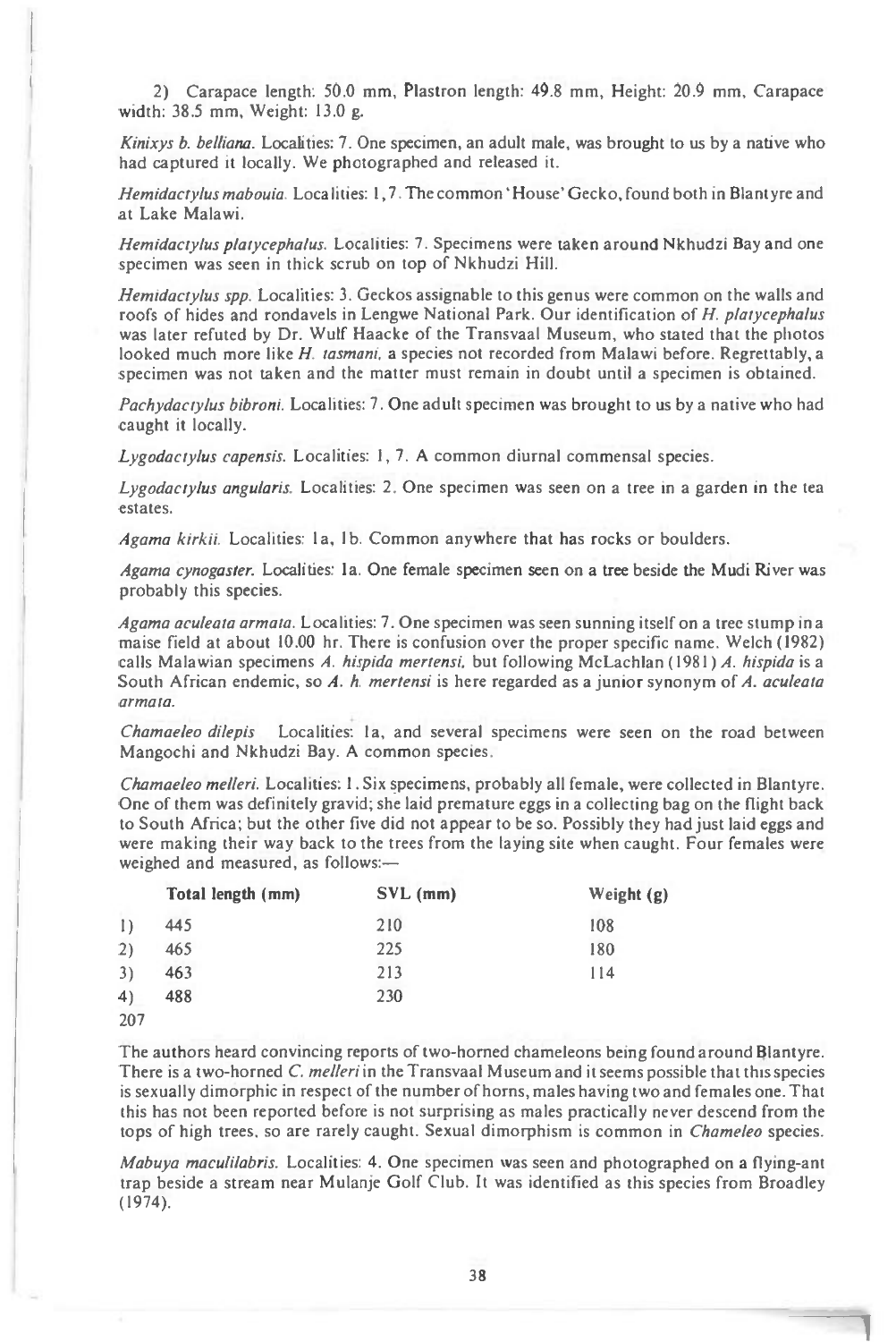2) Carapace length: 50.0 mm, Plastron length: 49.8 mm, Height: 20.9 mm, Carapace width: 38.5 mm, Weight: 13.0 g.

*Kinixys b. belliana.* Localities: 7. One specimen, an adult male, was brought to us by a native who had captured it locally. We photographed and released it.

*Hemidactylus mabouia.* Localities: 1,7. The common 'House' Gecko, found both in Blantyre and at Lake Malawi.

*Hemidactylus platycephalus.* Localities: 7. Specimens were taken around Nkhudzi Bay and one specimen was seen in thick scrub on top of Nkhudzi Hill.

*Hemidactylus spp.* Localities: 3. Geckos assignable to this genus were common on the walls and roofs of hides and rondavels in Lengwe National Park. Our identification of *H. platycephalus*  was later refuted by Dr. Wulf Haacke of the Transvaal Museum, who stated that the photos looked much more like *H. tasmani,* a species not recorded from Malawi before. Regrettably, a specimen was not taken and the matter must remain in doubt until a specimen is obtained.

*Pachydactylus bibroni.* Localities: 7. One adult specimen was brought to us by a native who had caught it locally.

*Lygodactylus capensis.* Localities: 1, 7. A common diurnal commensal species.

*Lygodactylus angularis.* Localities: 2. One specimen was seen on a tree in a garden in the tea estates.

*Agama kirkii.* Localities: la, **lb.** Common anywhere that has rocks or boulders.

*Agama cynogaster.* Localities: la. One female specimen seen on a tree beside the Mudi River was probably this species.

*Agama aculeata armata.* Localities: 7. One specimen was seen sunning itself on a tree stump in a maise field at about 10.00 hr. There is confusion over the proper specific name. Welch (1982) calls Malawian specimens *A. hispida mertensi,* but following McLachlan (1981) *A. hispida is* a South African endemic, so *A. h. mertensi* is here regarded as a junior synonym of *A. aculeata armata.* 

*Chamaeleo dilepis* Localities: la, and several specimens were seen on the road between Mangochi and Nkhudzi Bay. A common species.

*Chamaeleo melleri.* Localities: 1. Six specimens, probably all female, were collected in Blantyre. One of them was definitely gravid; she laid premature eggs in a collecting bag on the flight back to South Africa; but the other five did not appear to be so. Possibly they had just laid eggs and were making their way back to the trees from the laying site when caught. Four females were weighed and measured, as follows:—

|                  | Total length (mm) | $SVL$ (mm) | Weight $(g)$ |
|------------------|-------------------|------------|--------------|
| $\left( \right)$ | 445               | 210        | 108          |
| 2)               | 465               | 225        | 180          |
| 3)               | 463               | 213        | 114          |
| 4)               | 488               | 230        |              |
| 207              |                   |            |              |

**<sup>207</sup>** 

The authors heard convincing reports of two-horned chameleons being found around **Blantyre.**  There is a two-horned *C. melleri* in the Transvaal Museum and it seems possible that this species is sexually dimorphic in respect of the number of horns, males having two and females one. That this has not been reported before is not surprising as males practically never descend from the tops of high trees, so are rarely caught. Sexual dimorphism is common in *Chameleo* species.

*Mabuya maculilabris.* Localities: 4. One specimen was seen and photographed on a flying-ant trap beside a stream near Mulanje Golf Club. It was identified as this species from Broadley (1974).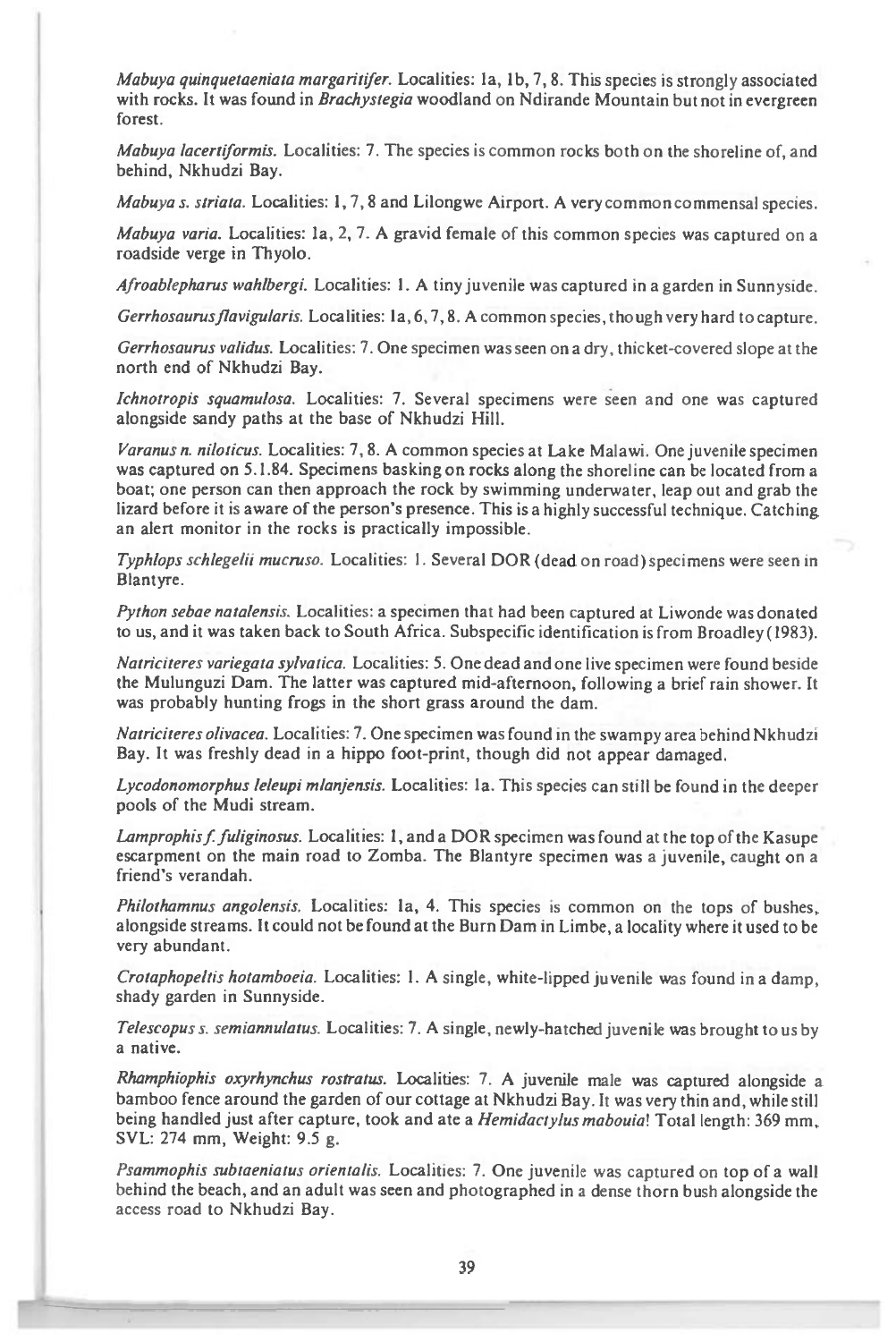*Mabuya quinquetoeniata margaritifer.* Localities: la, lb, 7, 8. This species is strongly associated with rocks. It was found *in Brachystegia* woodland on Ndirande Mountain but not in evergreen forest.

*Mabuya lacertiformis.* Localities: 7. The species is common rocks both on the shoreline of, and behind, Nkhudzi Bay.

*Mabuya s. striata.* Localities: 1, 7, 8 and Lilongwe Airport. A very common commensal species.

*Mabuya varia.* Localities: la, 2, 7. A gravid female of this common species was captured on a roadside verge in Thyolo.

*Afroablepharus wahlbergi.* Localities: 1. A tiny juvenile was captured in a garden in Sunnyside.

*Gerrhosaurusflavigularis.* Localities: la, 6, 7, 8. A common species, though very hard to capture.

*Gerrhosaurus validus.* Localities: 7. One specimen was seen on a dry, thicket-covered slope at the north end of Nkhudzi Bay.

*Ichnotropis squamulosa.* Localities: 7. Several specimens were seen and one was captured alongside sandy paths at the base of Nkhudzi Hill.

*Varanus n. nlloticus.* Localities: 7, 8. A common species at Lake Malawi. One juvenile specimen was captured on 5.1.84. Specimens basking on rocks along the shoreline can be located from a boat; one person can then approach the rock by swimming underwater, leap out and grab the lizard before it is aware of the person's presence. This is a highly successful technique. Catching an alert monitor in the rocks is practically impossible.

*Typhlops schlegelii mucruso.* Localities: 1. Several DOR (dead on road) specimens were seen in Blantyre.

*Python sebae natalensis.* Localities: a specimen that had been captured at Liwonde was donated to us, and it was taken back to South Africa. Subspecific identification is from Broadley (1983).

*Natriciteres variegata sylvatica.* Localities: 5. One dead and one live specimen were found beside the Mulunguzi Dam. The latter was captured mid-afternoon, following a brief rain shower. It was probably hunting frogs in the short grass around the dam.

*Natriciteres olivacea.* Localities: 7. One specimen was found in the swampy area behind Nkhudzi Bay. It was freshly dead in a hippo foot-print, though did not appear damaged.

*Lycodonomorphus leleupt mlanjensis.* Localities: la. This species can still be found in the deeper pools of the Mudi stream.

*Lamprophis f fuliginosus.* Localities: 1, and a DOR specimen was found at the top of the Kasupe escarpment on the main road to Zomba. The Blantyre specimen was a juvenile, caught on a friend's verandah.

*Philothamnus angolensis.* Localities: la, 4. This species is common on the tops of bushes, alongside streams. It could not be found at the Burn Dam in Limbe, a locality where it used to be very abundant.

*Crotaphopeltis hotamboeia.* Localities: 1. A single, white-lipped juvenile was found in a damp, shady garden in Sunnyside.

*Telescopus s. semiannulatus.* Localities: 7. A single, newly-hatched juvenile was brought to us by a native.

*Rhamphiophis oxyrhynchus rostratus.* Localities: 7. A juvenile male was captured alongside a bamboo fence around the garden of our cottage at Nkhudzi Bay. It was very thin and, while still being handled just after capture, took and ate *a Hemidactylus mabouia!* Total length: 369 mm, SVL: 274 mm, Weight: 9.5 g.

*Psammophis subtaeniatus orientalis.* Localities: 7. One juvenile was captured on top of a wall behind the beach, and an adult was seen and photographed in a dense thorn bush alongside the access road to Nkhudzi Bay.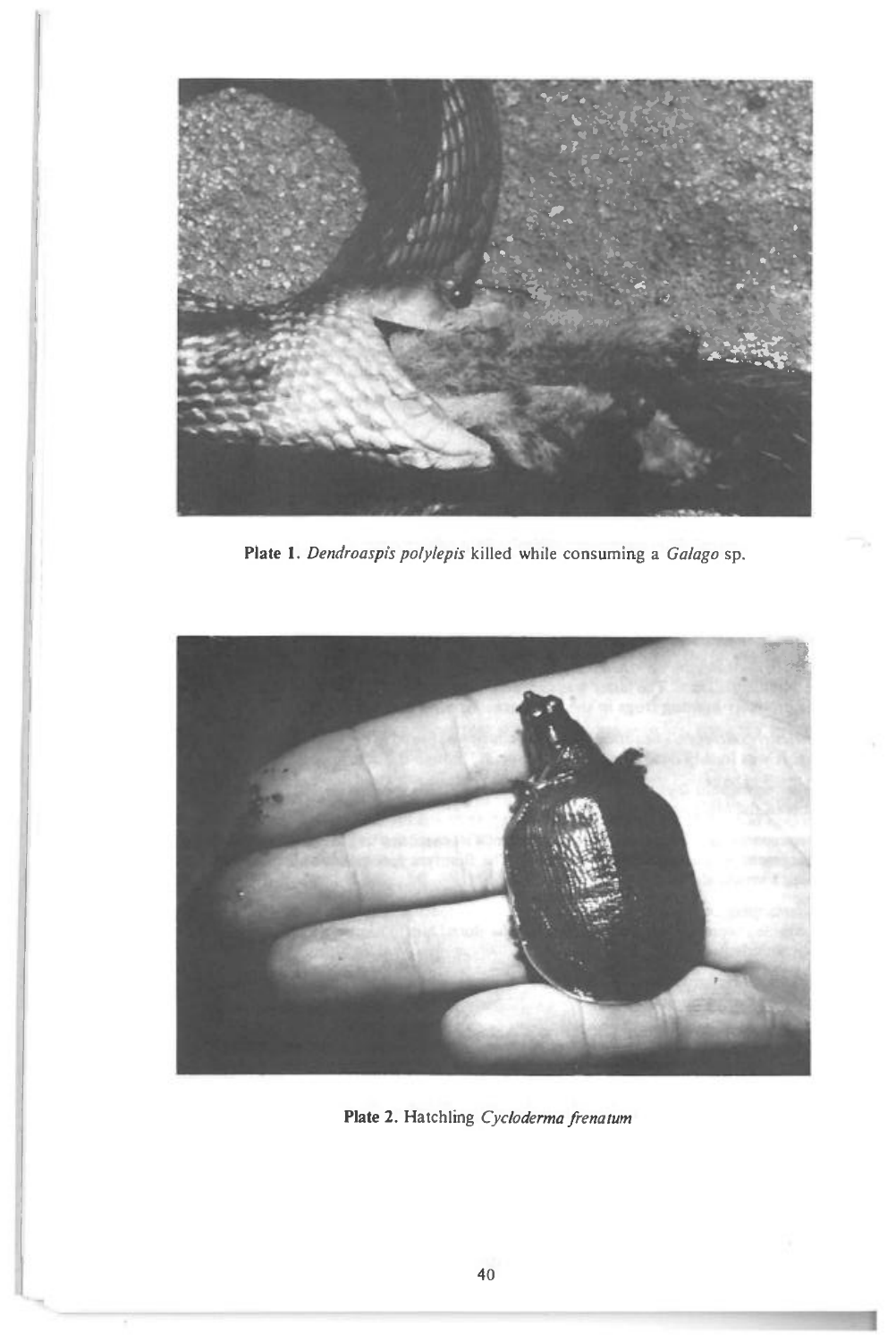

t

**Plate 1.** *Dendroaspis potylepis* killed while consuming a *Ga/ago* sp.



**Plate 2.** Hatchling *Cycloderma frenatum*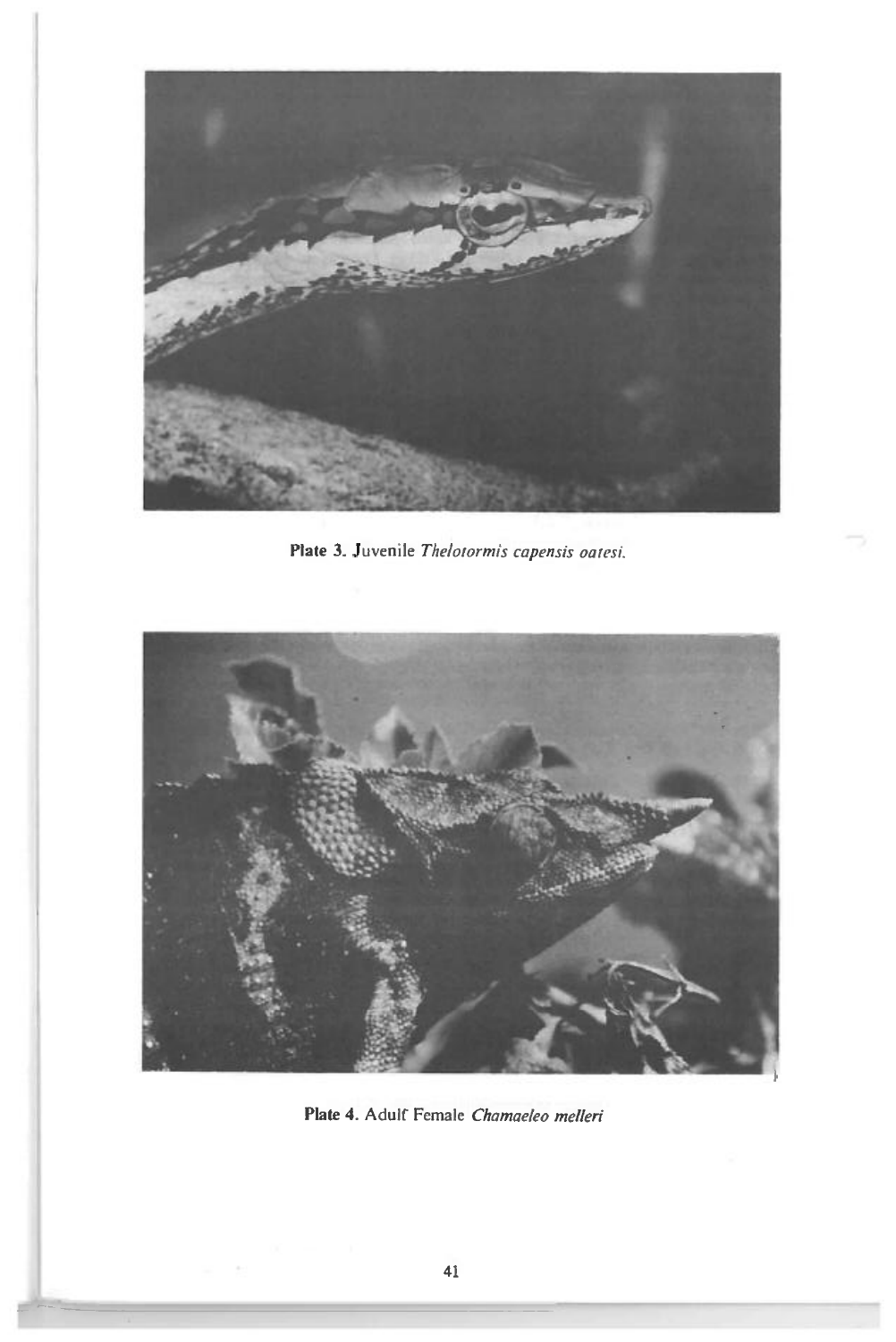

**Plate** 3. Juvenile *Thelotormis capensis oaten'.* 



Plate 4. Adulf Female *Chamaeleo melleri*